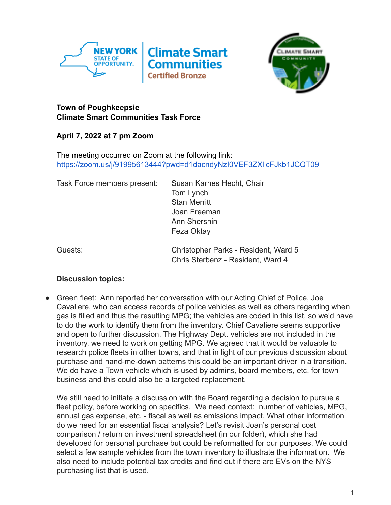



## **Town of Poughkeepsie Climate Smart Communities Task Force**

**April 7, 2022 at 7 pm Zoom**

The meeting occurred on Zoom at the following link: <https://zoom.us/j/91995613444?pwd=d1dacndyNzI0VEF3ZXlicFJkb1JCQT09>

Task Force members present: Susan Karnes Hecht, Chair

Tom Lynch Stan Merritt Joan Freeman Ann Shershin Feza Oktay

Guests: Christopher Parks - Resident, Ward 5 Chris Sterbenz - Resident, Ward 4

## **Discussion topics:**

• Green fleet: Ann reported her conversation with our Acting Chief of Police, Joe Cavaliere, who can access records of police vehicles as well as others regarding when gas is filled and thus the resulting MPG; the vehicles are coded in this list, so we'd have to do the work to identify them from the inventory. Chief Cavaliere seems supportive and open to further discussion. The Highway Dept. vehicles are not included in the inventory, we need to work on getting MPG. We agreed that it would be valuable to research police fleets in other towns, and that in light of our previous discussion about purchase and hand-me-down patterns this could be an important driver in a transition. We do have a Town vehicle which is used by admins, board members, etc. for town business and this could also be a targeted replacement.

We still need to initiate a discussion with the Board regarding a decision to pursue a fleet policy, before working on specifics. We need context: number of vehicles, MPG, annual gas expense, etc. - fiscal as well as emissions impact. What other information do we need for an essential fiscal analysis? Let's revisit Joan's personal cost comparison / return on investment spreadsheet (in our folder), which she had developed for personal purchase but could be reformatted for our purposes. We could select a few sample vehicles from the town inventory to illustrate the information. We also need to include potential tax credits and find out if there are EVs on the NYS purchasing list that is used.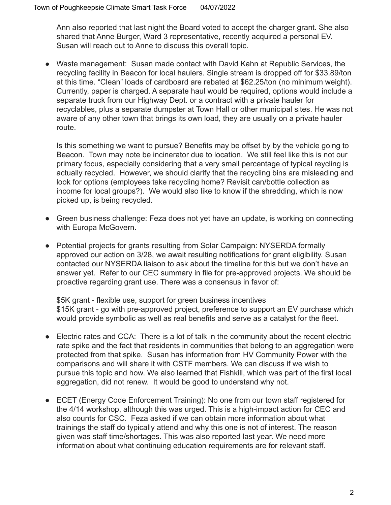Ann also reported that last night the Board voted to accept the charger grant. She also shared that Anne Burger, Ward 3 representative, recently acquired a personal EV. Susan will reach out to Anne to discuss this overall topic.

● Waste management: Susan made contact with David Kahn at Republic Services, the recycling facility in Beacon for local haulers. Single stream is dropped off for \$33.89/ton at this time. "Clean" loads of cardboard are rebated at \$62.25/ton (no minimum weight). Currently, paper is charged. A separate haul would be required, options would include a separate truck from our Highway Dept. or a contract with a private hauler for recyclables, plus a separate dumpster at Town Hall or other municipal sites. He was not aware of any other town that brings its own load, they are usually on a private hauler route.

Is this something we want to pursue? Benefits may be offset by by the vehicle going to Beacon. Town may note be incinerator due to location. We still feel like this is not our primary focus, especially considering that a very small percentage of typical reycling is actually recycled. However, we should clarify that the recycling bins are misleading and look for options (employees take recycling home? Revisit can/bottle collection as income for local groups?). We would also like to know if the shredding, which is now picked up, is being recycled.

- Green business challenge: Feza does not yet have an update, is working on connecting with Europa McGovern.
- Potential projects for grants resulting from Solar Campaign: NYSERDA formally approved our action on 3/28, we await resulting notifications for grant eligibility. Susan contacted our NYSERDA liaison to ask about the timeline for this but we don't have an answer yet. Refer to our CEC summary in file for pre-approved projects. We should be proactive regarding grant use. There was a consensus in favor of:

\$5K grant - flexible use, support for green business incentives \$15K grant - go with pre-approved project, preference to support an EV purchase which would provide symbolic as well as real benefits and serve as a catalyst for the fleet.

- Electric rates and CCA: There is a lot of talk in the community about the recent electric rate spike and the fact that residents in communities that belong to an aggregation were protected from that spike. Susan has information from HV Community Power with the comparisons and will share it with CSTF members. We can discuss if we wish to pursue this topic and how. We also learned that Fishkill, which was part of the first local aggregation, did not renew. It would be good to understand why not.
- ECET (Energy Code Enforcement Training): No one from our town staff registered for the 4/14 workshop, although this was urged. This is a high-impact action for CEC and also counts for CSC. Feza asked if we can obtain more information about what trainings the staff do typically attend and why this one is not of interest. The reason given was staff time/shortages. This was also reported last year. We need more information about what continuing education requirements are for relevant staff.